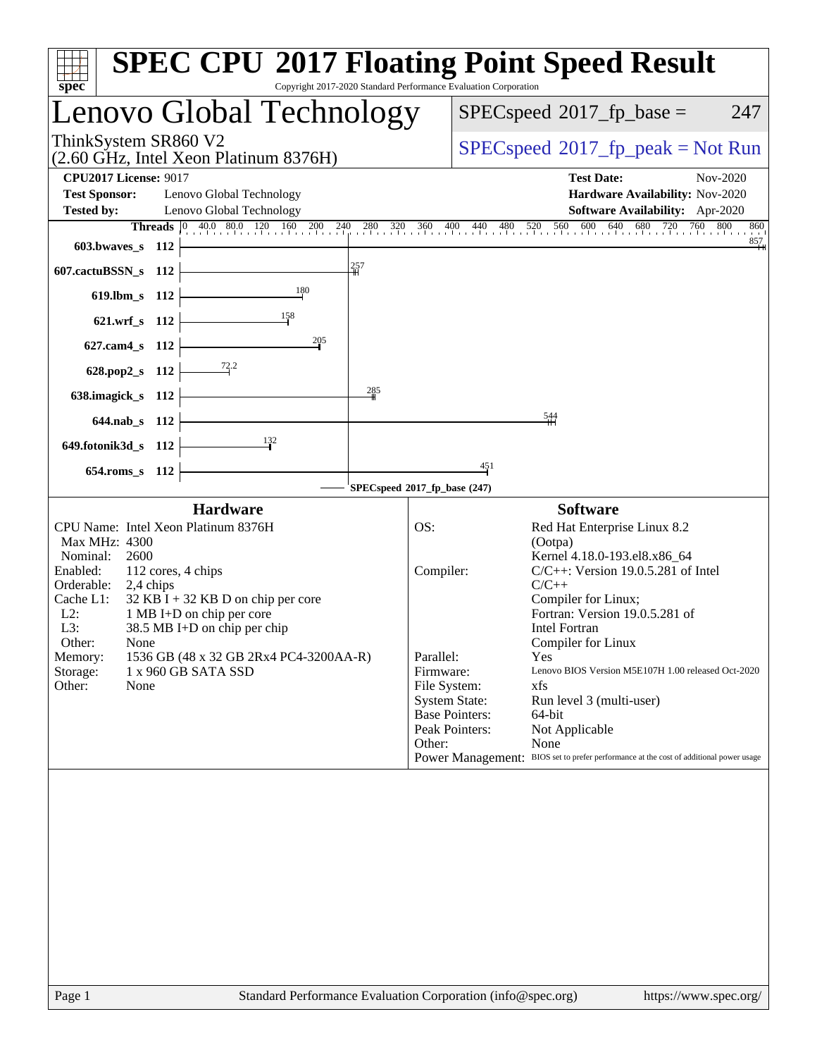| $spec^*$                                                                                 | Copyright 2017-2020 Standard Performance Evaluation Corporation | <b>SPEC CPU®2017 Floating Point Speed Result</b>                                                             |  |  |
|------------------------------------------------------------------------------------------|-----------------------------------------------------------------|--------------------------------------------------------------------------------------------------------------|--|--|
| Lenovo Global Technology                                                                 | $SPEC speed^{\circ}2017\_fp\_base =$<br>247                     |                                                                                                              |  |  |
| ThinkSystem SR860 V2<br>$(2.60 \text{ GHz}, \text{Intel Xeon Platinum } 8376\text{H})$   | $SPEC speed^{\circ}2017\_fp\_peak = Not Run$                    |                                                                                                              |  |  |
| <b>CPU2017 License: 9017</b>                                                             |                                                                 | <b>Test Date:</b><br>Nov-2020                                                                                |  |  |
| <b>Test Sponsor:</b><br>Lenovo Global Technology                                         |                                                                 | Hardware Availability: Nov-2020                                                                              |  |  |
| <b>Tested by:</b><br>Lenovo Global Technology                                            |                                                                 | Software Availability: Apr-2020                                                                              |  |  |
|                                                                                          |                                                                 | <b>Threads</b> 0 40.0 80.0 120 160 200 240 280 320 360 400 440 480 520 560 600 640 680 720 760<br>800<br>860 |  |  |
| 603.bwaves_s 112                                                                         |                                                                 | 857                                                                                                          |  |  |
| 607.cactuBSSN_s 112                                                                      | 257                                                             |                                                                                                              |  |  |
| 180<br>619.lbm_s 112                                                                     |                                                                 |                                                                                                              |  |  |
| 621.wrf_s 112                                                                            |                                                                 |                                                                                                              |  |  |
| 205<br>627.cam4_s 112                                                                    |                                                                 |                                                                                                              |  |  |
| $\frac{72.2}{ }$<br>628.pop2_s 112                                                       |                                                                 |                                                                                                              |  |  |
| 638.imagick_s 112                                                                        | 285                                                             |                                                                                                              |  |  |
| 644.nab_s 112                                                                            |                                                                 | $\frac{544}{5}$                                                                                              |  |  |
| $\frac{132}{2}$<br>649.fotonik3d_s 112                                                   |                                                                 |                                                                                                              |  |  |
| 654.roms_s 112                                                                           |                                                                 | 451                                                                                                          |  |  |
|                                                                                          | SPECspeed®2017_fp_base (247)                                    |                                                                                                              |  |  |
| <b>Hardware</b>                                                                          |                                                                 | <b>Software</b>                                                                                              |  |  |
| CPU Name: Intel Xeon Platinum 8376H                                                      | OS:                                                             | Red Hat Enterprise Linux 8.2                                                                                 |  |  |
| Max MHz: 4300                                                                            |                                                                 | (Ootpa)                                                                                                      |  |  |
| Nominal:<br>2600                                                                         |                                                                 | Kernel 4.18.0-193.el8.x86_64                                                                                 |  |  |
| Enabled:<br>112 cores, 4 chips                                                           | Compiler:                                                       | $C/C++$ : Version 19.0.5.281 of Intel                                                                        |  |  |
| Orderable:<br>2,4 chips                                                                  |                                                                 | $C/C++$                                                                                                      |  |  |
| Cache L1:<br>$32$ KB I + 32 KB D on chip per core<br>$L2$ :<br>1 MB I+D on chip per core |                                                                 | Compiler for Linux;<br>Fortran: Version 19.0.5.281 of                                                        |  |  |
| L3:<br>38.5 MB I+D on chip per chip                                                      |                                                                 | <b>Intel Fortran</b>                                                                                         |  |  |
| Other:<br>None                                                                           |                                                                 | Compiler for Linux                                                                                           |  |  |
| 1536 GB (48 x 32 GB 2Rx4 PC4-3200AA-R)<br>Memory:                                        | Parallel:                                                       | Yes                                                                                                          |  |  |
| Storage:<br>1 x 960 GB SATA SSD                                                          | Firmware:                                                       | Lenovo BIOS Version M5E107H 1.00 released Oct-2020                                                           |  |  |
| Other:<br>None                                                                           | File System:                                                    | xfs                                                                                                          |  |  |
|                                                                                          | <b>System State:</b>                                            | Run level 3 (multi-user)                                                                                     |  |  |
|                                                                                          |                                                                 | <b>Base Pointers:</b><br>64-bit                                                                              |  |  |
|                                                                                          |                                                                 | Peak Pointers:<br>Not Applicable                                                                             |  |  |
|                                                                                          | Other:                                                          | None                                                                                                         |  |  |
|                                                                                          |                                                                 | Power Management: BIOS set to prefer performance at the cost of additional power usage                       |  |  |
|                                                                                          |                                                                 |                                                                                                              |  |  |
|                                                                                          |                                                                 |                                                                                                              |  |  |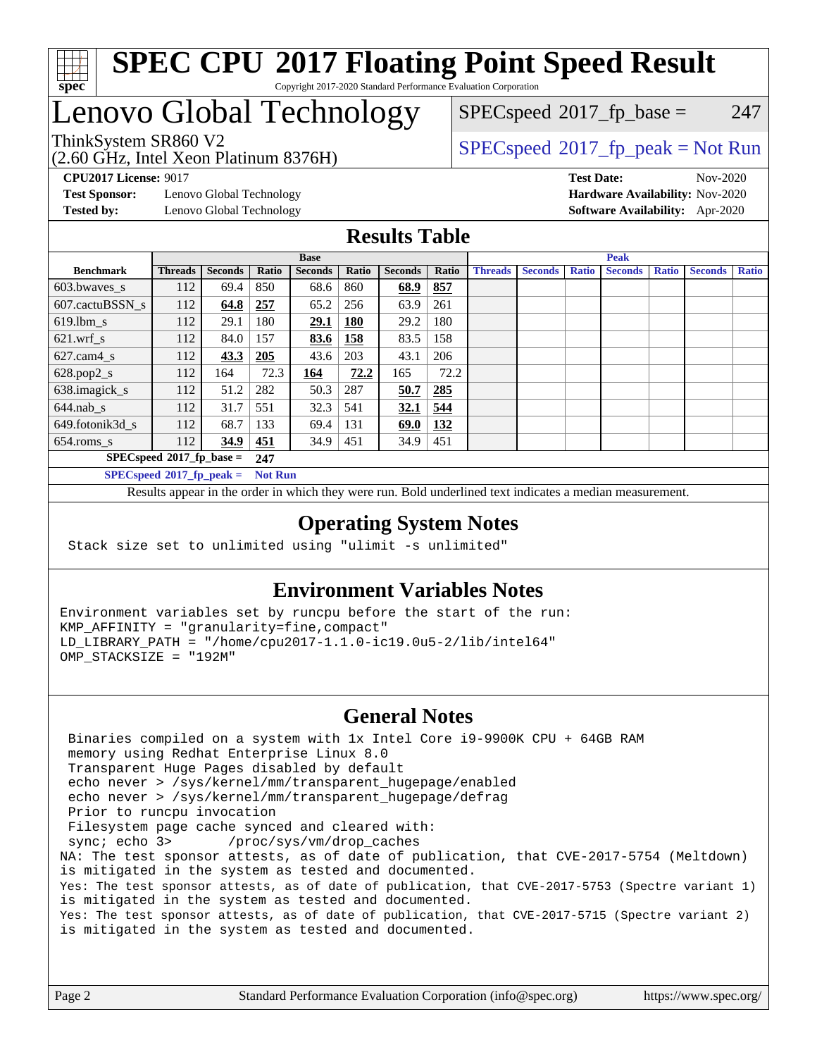

## Lenovo Global Technology

(2.60 GHz, Intel Xeon Platinum 8376H)

 $SPECspeed^{\circledcirc}2017_fp\_base = 247$  $SPECspeed^{\circledcirc}2017_fp\_base = 247$ 

### ThinkSystem SR860 V2<br>  $\begin{array}{c}\n\text{SPEC speed} \text{?}2017\_fp\_peak = Not Run \\
\text{C 60 GHz, Intel Yoon Plotinum} \text{?}376H\n\end{array}$

**[CPU2017 License:](http://www.spec.org/auto/cpu2017/Docs/result-fields.html#CPU2017License)** 9017 **[Test Date:](http://www.spec.org/auto/cpu2017/Docs/result-fields.html#TestDate)** Nov-2020

**[Test Sponsor:](http://www.spec.org/auto/cpu2017/Docs/result-fields.html#TestSponsor)** Lenovo Global Technology **[Hardware Availability:](http://www.spec.org/auto/cpu2017/Docs/result-fields.html#HardwareAvailability)** Nov-2020

**[Tested by:](http://www.spec.org/auto/cpu2017/Docs/result-fields.html#Testedby)** Lenovo Global Technology **[Software Availability:](http://www.spec.org/auto/cpu2017/Docs/result-fields.html#SoftwareAvailability)** Apr-2020

#### **[Results Table](http://www.spec.org/auto/cpu2017/Docs/result-fields.html#ResultsTable)**

|                             | <b>Base</b>    |                |                |                |       | <b>Peak</b>    |            |                |                |              |                |              |                |              |
|-----------------------------|----------------|----------------|----------------|----------------|-------|----------------|------------|----------------|----------------|--------------|----------------|--------------|----------------|--------------|
| <b>Benchmark</b>            | <b>Threads</b> | <b>Seconds</b> | Ratio          | <b>Seconds</b> | Ratio | <b>Seconds</b> | Ratio      | <b>Threads</b> | <b>Seconds</b> | <b>Ratio</b> | <b>Seconds</b> | <b>Ratio</b> | <b>Seconds</b> | <b>Ratio</b> |
| 603.bwayes s                | 112            | 69.4           | 850            | 68.6           | 860   | 68.9           | 857        |                |                |              |                |              |                |              |
| 607.cactuBSSN s             | 112            | 64.8           | 257            | 65.2           | 256   | 63.9           | 261        |                |                |              |                |              |                |              |
| $619.1$ bm s                | 112            | 29.1           | 180            | 29.1           | 180   | 29.2           | 180        |                |                |              |                |              |                |              |
| $621$ .wrf s                | 112            | 84.0           | 157            | 83.6           | 158   | 83.5           | 158        |                |                |              |                |              |                |              |
| $627$ .cam $4 \text{ s}$    | 112            | 43.3           | 205            | 43.6           | 203   | 43.1           | 206        |                |                |              |                |              |                |              |
| $628.pop2_s$                | 112            | 164            | 72.3           | 164            | 72.2  | 165            | 72.2       |                |                |              |                |              |                |              |
| 638.imagick_s               | 112            | 51.2           | 282            | 50.3           | 287   | 50.7           | 285        |                |                |              |                |              |                |              |
| $644$ .nab s                | 112            | 31.7           | 551            | 32.3           | 541   | 32.1           | 544        |                |                |              |                |              |                |              |
| 649.fotonik3d s             | 112            | 68.7           | 133            | 69.4           | 131   | 69.0           | <b>132</b> |                |                |              |                |              |                |              |
| $654$ .roms s               | 112            | 34.9           | 451            | 34.9           | 451   | 34.9           | 451        |                |                |              |                |              |                |              |
| $SPECspeed*2017_fp\_base =$ |                |                | 247            |                |       |                |            |                |                |              |                |              |                |              |
| $SPECspeed*2017_fp\_peak =$ |                |                | <b>Not Run</b> |                |       |                |            |                |                |              |                |              |                |              |

Results appear in the [order in which they were run.](http://www.spec.org/auto/cpu2017/Docs/result-fields.html#RunOrder) Bold underlined text [indicates a median measurement](http://www.spec.org/auto/cpu2017/Docs/result-fields.html#Median).

#### **[Operating System Notes](http://www.spec.org/auto/cpu2017/Docs/result-fields.html#OperatingSystemNotes)**

Stack size set to unlimited using "ulimit -s unlimited"

### **[Environment Variables Notes](http://www.spec.org/auto/cpu2017/Docs/result-fields.html#EnvironmentVariablesNotes)**

Environment variables set by runcpu before the start of the run: KMP\_AFFINITY = "granularity=fine,compact" LD\_LIBRARY\_PATH = "/home/cpu2017-1.1.0-ic19.0u5-2/lib/intel64" OMP\_STACKSIZE = "192M"

#### **[General Notes](http://www.spec.org/auto/cpu2017/Docs/result-fields.html#GeneralNotes)**

 Binaries compiled on a system with 1x Intel Core i9-9900K CPU + 64GB RAM memory using Redhat Enterprise Linux 8.0 Transparent Huge Pages disabled by default echo never > /sys/kernel/mm/transparent\_hugepage/enabled echo never > /sys/kernel/mm/transparent\_hugepage/defrag Prior to runcpu invocation Filesystem page cache synced and cleared with: sync; echo 3> /proc/sys/vm/drop\_caches NA: The test sponsor attests, as of date of publication, that CVE-2017-5754 (Meltdown) is mitigated in the system as tested and documented. Yes: The test sponsor attests, as of date of publication, that CVE-2017-5753 (Spectre variant 1) is mitigated in the system as tested and documented. Yes: The test sponsor attests, as of date of publication, that CVE-2017-5715 (Spectre variant 2) is mitigated in the system as tested and documented.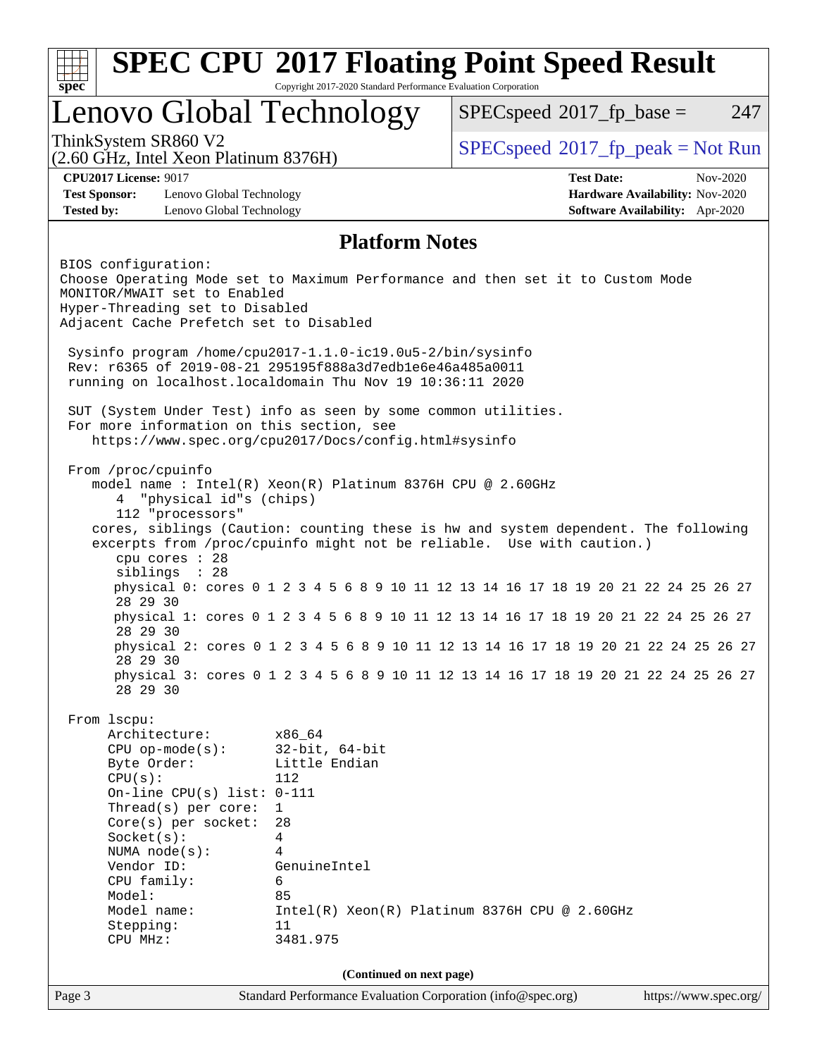|                                                                                                                                                                                                                                                                             |                                                                                                                          | <b>SPEC CPU®2017 Floating Point Speed Result</b>                                                                                                                                                                                                   |                                                                                |
|-----------------------------------------------------------------------------------------------------------------------------------------------------------------------------------------------------------------------------------------------------------------------------|--------------------------------------------------------------------------------------------------------------------------|----------------------------------------------------------------------------------------------------------------------------------------------------------------------------------------------------------------------------------------------------|--------------------------------------------------------------------------------|
| $spec^*$                                                                                                                                                                                                                                                                    | Copyright 2017-2020 Standard Performance Evaluation Corporation                                                          |                                                                                                                                                                                                                                                    |                                                                                |
| Lenovo Global Technology                                                                                                                                                                                                                                                    |                                                                                                                          | $SPEC speed^{\circ}2017$ fp base =                                                                                                                                                                                                                 | 247                                                                            |
| ThinkSystem SR860 V2<br>(2.60 GHz, Intel Xeon Platinum 8376H)                                                                                                                                                                                                               |                                                                                                                          | $SPEC speed^{\circ}2017\_fp\_peak = Not Run$                                                                                                                                                                                                       |                                                                                |
| <b>CPU2017 License: 9017</b><br><b>Test Sponsor:</b><br>Lenovo Global Technology<br><b>Tested by:</b><br>Lenovo Global Technology                                                                                                                                           |                                                                                                                          | <b>Test Date:</b>                                                                                                                                                                                                                                  | Nov-2020<br>Hardware Availability: Nov-2020<br>Software Availability: Apr-2020 |
|                                                                                                                                                                                                                                                                             | <b>Platform Notes</b>                                                                                                    |                                                                                                                                                                                                                                                    |                                                                                |
| BIOS configuration:<br>Choose Operating Mode set to Maximum Performance and then set it to Custom Mode<br>MONITOR/MWAIT set to Enabled<br>Hyper-Threading set to Disabled<br>Adjacent Cache Prefetch set to Disabled                                                        |                                                                                                                          |                                                                                                                                                                                                                                                    |                                                                                |
| Sysinfo program /home/cpu2017-1.1.0-ic19.0u5-2/bin/sysinfo<br>Rev: r6365 of 2019-08-21 295195f888a3d7edble6e46a485a0011<br>running on localhost.localdomain Thu Nov 19 10:36:11 2020                                                                                        |                                                                                                                          |                                                                                                                                                                                                                                                    |                                                                                |
| SUT (System Under Test) info as seen by some common utilities.<br>For more information on this section, see<br>https://www.spec.org/cpu2017/Docs/config.html#sysinfo                                                                                                        |                                                                                                                          |                                                                                                                                                                                                                                                    |                                                                                |
| From /proc/cpuinfo<br>model name: $Intel(R)$ Xeon(R) Platinum 8376H CPU @ 2.60GHz<br>"physical id"s (chips)<br>4<br>112 "processors"<br>cpu cores : 28<br>siblings : 28                                                                                                     |                                                                                                                          | cores, siblings (Caution: counting these is hw and system dependent. The following<br>excerpts from /proc/cpuinfo might not be reliable. Use with caution.)<br>physical 0: cores 0 1 2 3 4 5 6 8 9 10 11 12 13 14 16 17 18 19 20 21 22 24 25 26 27 |                                                                                |
| 28 29 30                                                                                                                                                                                                                                                                    |                                                                                                                          | physical 1: cores 0 1 2 3 4 5 6 8 9 10 11 12 13 14 16 17 18 19 20 21 22 24 25 26 27                                                                                                                                                                |                                                                                |
| 28 29 30<br>28 29 30                                                                                                                                                                                                                                                        |                                                                                                                          | physical 2: cores 0 1 2 3 4 5 6 8 9 10 11 12 13 14 16 17 18 19 20 21 22 24 25 26 27                                                                                                                                                                |                                                                                |
| 28 29 30                                                                                                                                                                                                                                                                    |                                                                                                                          | physical 3: cores 0 1 2 3 4 5 6 8 9 10 11 12 13 14 16 17 18 19 20 21 22 24 25 26 27                                                                                                                                                                |                                                                                |
| From 1scpu:<br>Architecture:<br>$CPU$ op-mode( $s$ ):<br>Byte Order:<br>CPU(s):<br>On-line CPU(s) list: $0-111$<br>Thread(s) per core:<br>Core(s) per socket:<br>Socket(s):<br>NUMA node(s):<br>Vendor ID:<br>CPU family:<br>Model:<br>Model name:<br>Stepping:<br>CPU MHz: | x86_64<br>$32$ -bit, $64$ -bit<br>Little Endian<br>112<br>1<br>28<br>4<br>4<br>GenuineIntel<br>6<br>85<br>11<br>3481.975 | $Intel(R) Xeon(R) Platinum 8376H CPU @ 2.60GHz$                                                                                                                                                                                                    |                                                                                |
|                                                                                                                                                                                                                                                                             | (Continued on next page)                                                                                                 |                                                                                                                                                                                                                                                    |                                                                                |
| Page 3                                                                                                                                                                                                                                                                      | Standard Performance Evaluation Corporation (info@spec.org)                                                              |                                                                                                                                                                                                                                                    | https://www.spec.org/                                                          |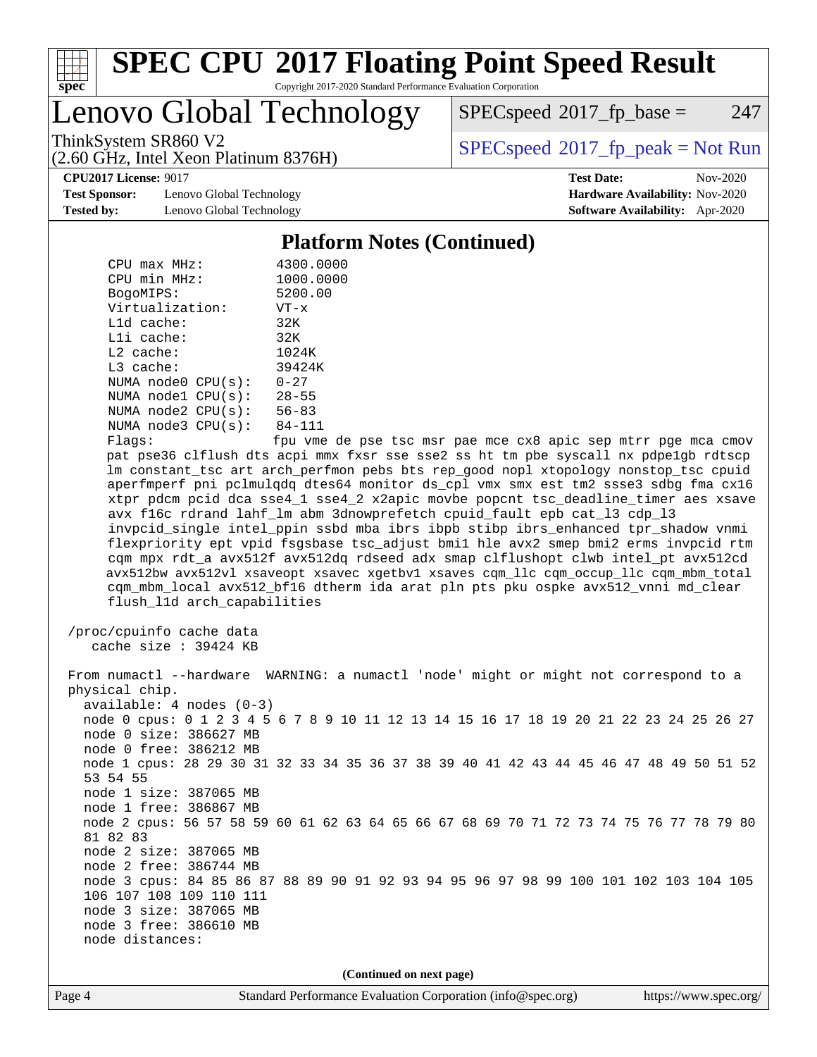

### Lenovo Global Technology

 $SPEC speed^{\circ}2017$  fp base = 247

(2.60 GHz, Intel Xeon Platinum 8376H)

ThinkSystem SR860 V2<br>  $\begin{array}{c}\n\text{SPEC speed} \text{°2017\_fp\_peak} = \text{Not Run} \\
\text{SPEC speed} \text{°2017\_fp\_peak} = \text{Not Run} \\
\end{array}$ 

**[CPU2017 License:](http://www.spec.org/auto/cpu2017/Docs/result-fields.html#CPU2017License)** 9017 **[Test Date:](http://www.spec.org/auto/cpu2017/Docs/result-fields.html#TestDate)** Nov-2020

**[Test Sponsor:](http://www.spec.org/auto/cpu2017/Docs/result-fields.html#TestSponsor)** Lenovo Global Technology **[Hardware Availability:](http://www.spec.org/auto/cpu2017/Docs/result-fields.html#HardwareAvailability)** Nov-2020 **[Tested by:](http://www.spec.org/auto/cpu2017/Docs/result-fields.html#Testedby)** Lenovo Global Technology **[Software Availability:](http://www.spec.org/auto/cpu2017/Docs/result-fields.html#SoftwareAvailability)** Apr-2020

**[Platform Notes \(Continued\)](http://www.spec.org/auto/cpu2017/Docs/result-fields.html#PlatformNotes)**

| $CPU$ max $MHz$ :       | 4300.0000                      |
|-------------------------|--------------------------------|
| CPU min MHz:            | 1000.0000                      |
| BogoMIPS:               | 5200.00                        |
| Virtualization:         | $VT - x$                       |
| $L1d$ cache:            | 32K                            |
| $L1i$ cache:            | 32K                            |
| $L2$ cache:             | 1024K                          |
| $L3$ cache:             | 39424K                         |
| NUMA node0 CPU(s):      | $0 - 27$                       |
| NUMA node1 CPU(s):      | $28 - 55$                      |
| NUMA node2 CPU(s):      | $56 - 83$                      |
| NUMA $node3$ $CPU(s)$ : | 84-111                         |
| $E1 \sim 0.01$          | $f_{\text{min}}$ $\frac{1}{2}$ |

Flags: fpu vme de pse tsc msr pae mce cx8 apic sep mtrr pge mca cmov pat pse36 clflush dts acpi mmx fxsr sse sse2 ss ht tm pbe syscall nx pdpe1gb rdtscp lm constant\_tsc art arch\_perfmon pebs bts rep\_good nopl xtopology nonstop\_tsc cpuid aperfmperf pni pclmulqdq dtes64 monitor ds\_cpl vmx smx est tm2 ssse3 sdbg fma cx16 xtpr pdcm pcid dca sse4\_1 sse4\_2 x2apic movbe popcnt tsc\_deadline\_timer aes xsave avx f16c rdrand lahf\_lm abm 3dnowprefetch cpuid\_fault epb cat\_l3 cdp\_l3 invpcid\_single intel\_ppin ssbd mba ibrs ibpb stibp ibrs\_enhanced tpr\_shadow vnmi flexpriority ept vpid fsgsbase tsc\_adjust bmi1 hle avx2 smep bmi2 erms invpcid rtm cqm mpx rdt\_a avx512f avx512dq rdseed adx smap clflushopt clwb intel\_pt avx512cd avx512bw avx512vl xsaveopt xsavec xgetbv1 xsaves cqm\_llc cqm\_occup\_llc cqm\_mbm\_total cqm\_mbm\_local avx512\_bf16 dtherm ida arat pln pts pku ospke avx512\_vnni md\_clear flush\_l1d arch\_capabilities

```
 /proc/cpuinfo cache data
   cache size : 39424 KB
```
 From numactl --hardware WARNING: a numactl 'node' might or might not correspond to a physical chip. available: 4 nodes (0-3) node 0 cpus: 0 1 2 3 4 5 6 7 8 9 10 11 12 13 14 15 16 17 18 19 20 21 22 23 24 25 26 27 node 0 size: 386627 MB node 0 free: 386212 MB node 1 cpus: 28 29 30 31 32 33 34 35 36 37 38 39 40 41 42 43 44 45 46 47 48 49 50 51 52 53 54 55 node 1 size: 387065 MB node 1 free: 386867 MB node 2 cpus: 56 57 58 59 60 61 62 63 64 65 66 67 68 69 70 71 72 73 74 75 76 77 78 79 80 81 82 83 node 2 size: 387065 MB node 2 free: 386744 MB node 3 cpus: 84 85 86 87 88 89 90 91 92 93 94 95 96 97 98 99 100 101 102 103 104 105 106 107 108 109 110 111 node 3 size: 387065 MB node 3 free: 386610 MB node distances:

**(Continued on next page)**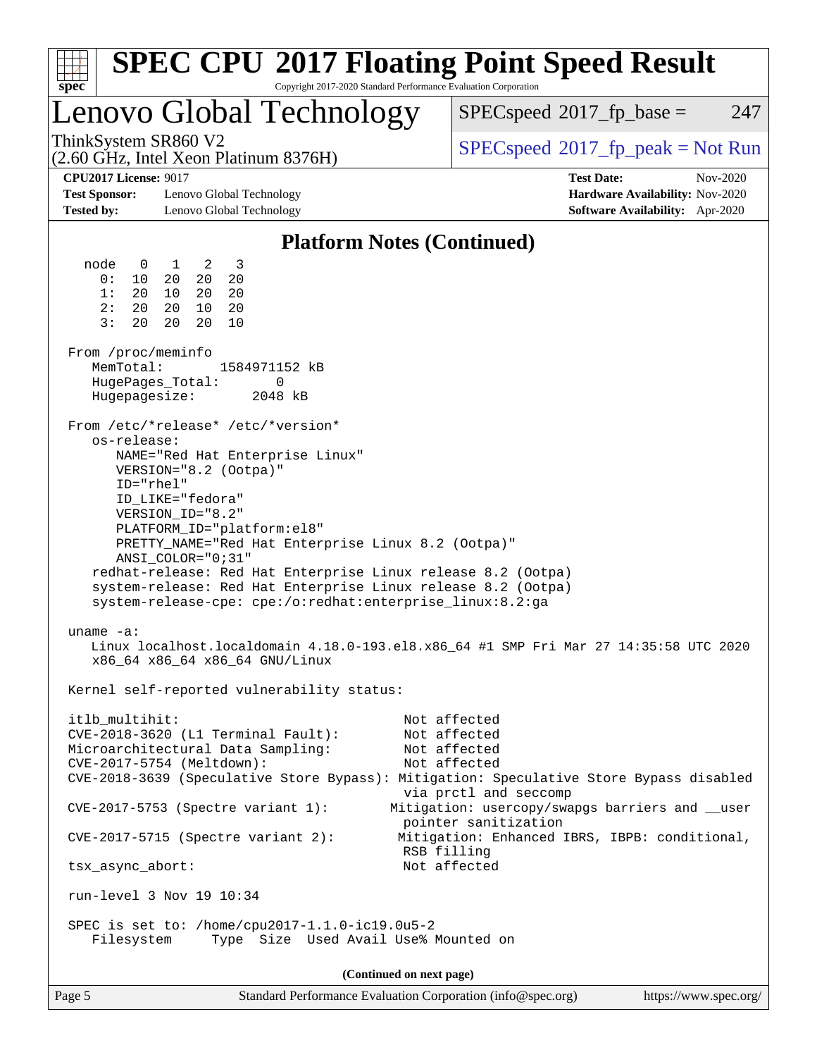| spec <sup>®</sup>                                                                                                          |                                                                                                                                                                                                                                                                                                                        | <b>SPEC CPU®2017 Floating Point Speed Result</b><br>Copyright 2017-2020 Standard Performance Evaluation Corporation                                                              |  |  |  |  |  |  |
|----------------------------------------------------------------------------------------------------------------------------|------------------------------------------------------------------------------------------------------------------------------------------------------------------------------------------------------------------------------------------------------------------------------------------------------------------------|----------------------------------------------------------------------------------------------------------------------------------------------------------------------------------|--|--|--|--|--|--|
|                                                                                                                            | Lenovo Global Technology                                                                                                                                                                                                                                                                                               | 247<br>$SPEC speed^{\circ}2017\_fp\_base =$                                                                                                                                      |  |  |  |  |  |  |
| ThinkSystem SR860 V2                                                                                                       | (2.60 GHz, Intel Xeon Platinum 8376H)                                                                                                                                                                                                                                                                                  | $SPEC speed^{\circ}2017\_fp\_peak = Not Run$                                                                                                                                     |  |  |  |  |  |  |
| <b>CPU2017 License: 9017</b><br><b>Test Sponsor:</b><br><b>Tested by:</b>                                                  | Lenovo Global Technology<br>Lenovo Global Technology                                                                                                                                                                                                                                                                   | <b>Test Date:</b><br>Nov-2020<br>Hardware Availability: Nov-2020<br>Software Availability: Apr-2020                                                                              |  |  |  |  |  |  |
| <b>Platform Notes (Continued)</b>                                                                                          |                                                                                                                                                                                                                                                                                                                        |                                                                                                                                                                                  |  |  |  |  |  |  |
| node<br>$\mathbf 0$<br>0:<br>10<br>1:<br>20<br>2:<br>20<br>3:<br>20<br>From /proc/meminfo<br>MemTotal:<br>HugePages_Total: | $\overline{3}$<br>$\overline{1}$<br>2<br>20<br>20<br>20<br>10<br>20<br>20<br>20<br>10<br>20<br>20<br>20<br>10<br>1584971152 kB<br>0                                                                                                                                                                                    |                                                                                                                                                                                  |  |  |  |  |  |  |
| Hugepagesize:<br>os-release:<br>ID="rhel"                                                                                  | 2048 kB<br>From /etc/*release* /etc/*version*<br>NAME="Red Hat Enterprise Linux"<br>VERSION="8.2 (Ootpa)"<br>ID_LIKE="fedora"                                                                                                                                                                                          |                                                                                                                                                                                  |  |  |  |  |  |  |
|                                                                                                                            | VERSION_ID="8.2"<br>PLATFORM_ID="platform:el8"<br>PRETTY_NAME="Red Hat Enterprise Linux 8.2 (Ootpa)"<br>ANSI COLOR="0;31"<br>redhat-release: Red Hat Enterprise Linux release 8.2 (Ootpa)<br>system-release: Red Hat Enterprise Linux release 8.2 (Ootpa)<br>system-release-cpe: cpe:/o:redhat:enterprise_linux:8.2:ga |                                                                                                                                                                                  |  |  |  |  |  |  |
| uname $-a$ :                                                                                                               | x86_64 x86_64 x86_64 GNU/Linux                                                                                                                                                                                                                                                                                         | Linux localhost.localdomain 4.18.0-193.el8.x86_64 #1 SMP Fri Mar 27 14:35:58 UTC 2020                                                                                            |  |  |  |  |  |  |
|                                                                                                                            | Kernel self-reported vulnerability status:                                                                                                                                                                                                                                                                             |                                                                                                                                                                                  |  |  |  |  |  |  |
| itlb_multihit:                                                                                                             | $CVE-2018-3620$ (L1 Terminal Fault):<br>Microarchitectural Data Sampling:<br>CVE-2017-5754 (Meltdown):                                                                                                                                                                                                                 | Not affected<br>Not affected<br>Not affected<br>Not affected<br>CVE-2018-3639 (Speculative Store Bypass): Mitigation: Speculative Store Bypass disabled<br>via prctl and seccomp |  |  |  |  |  |  |
|                                                                                                                            | CVE-2017-5753 (Spectre variant 1):                                                                                                                                                                                                                                                                                     | Mitigation: usercopy/swapgs barriers and __user<br>pointer sanitization                                                                                                          |  |  |  |  |  |  |
|                                                                                                                            | $CVE-2017-5715$ (Spectre variant 2):                                                                                                                                                                                                                                                                                   | Mitigation: Enhanced IBRS, IBPB: conditional,<br>RSB filling                                                                                                                     |  |  |  |  |  |  |
| tsx_async_abort:                                                                                                           |                                                                                                                                                                                                                                                                                                                        | Not affected                                                                                                                                                                     |  |  |  |  |  |  |
|                                                                                                                            | run-level 3 Nov 19 10:34                                                                                                                                                                                                                                                                                               |                                                                                                                                                                                  |  |  |  |  |  |  |
| Filesystem                                                                                                                 | SPEC is set to: /home/cpu2017-1.1.0-ic19.0u5-2<br>Type Size Used Avail Use% Mounted on                                                                                                                                                                                                                                 |                                                                                                                                                                                  |  |  |  |  |  |  |
|                                                                                                                            |                                                                                                                                                                                                                                                                                                                        | (Continued on next page)                                                                                                                                                         |  |  |  |  |  |  |

Page 5 Standard Performance Evaluation Corporation [\(info@spec.org\)](mailto:info@spec.org) <https://www.spec.org/>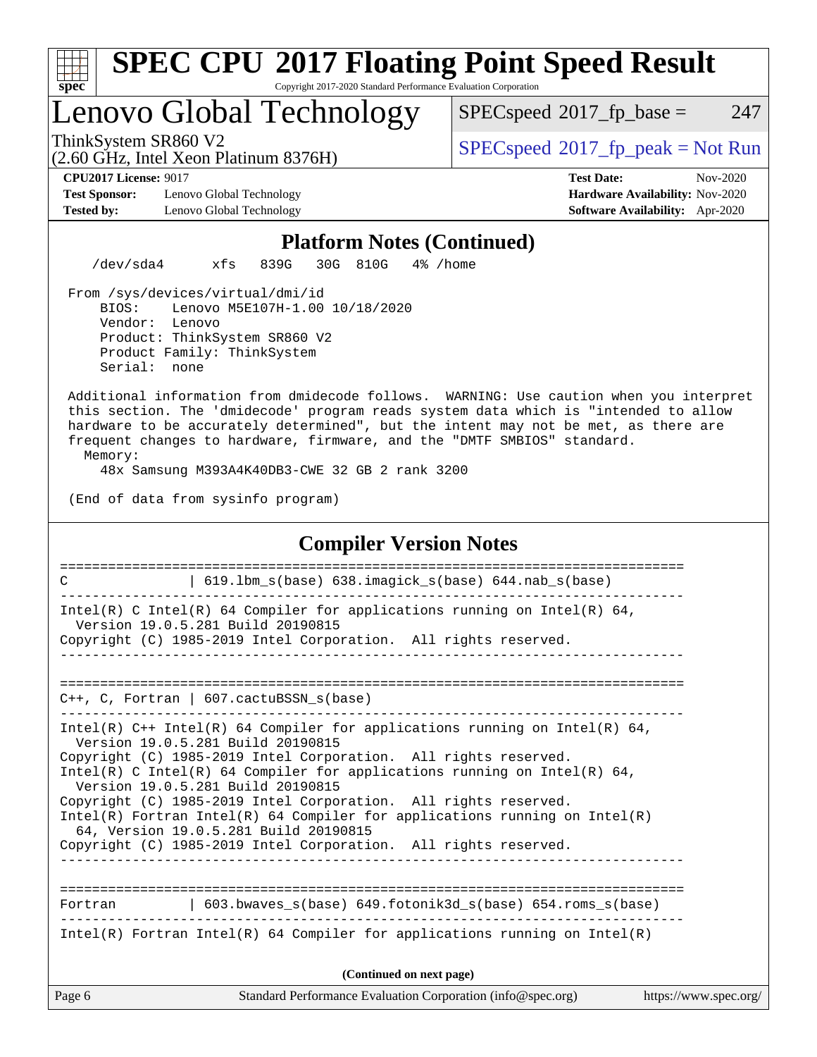

### Lenovo Global Technology

(2.60 GHz, Intel Xeon Platinum 8376H)

 $SPECspeed^{\circ}2017_fp\_base = 247$  $SPECspeed^{\circ}2017_fp\_base = 247$ 

ThinkSystem SR860 V2<br>  $\begin{array}{c}\n\text{SPEC speed} \text{?}2017 \text{ fp\_peak} = \text{Not Run} \\
\text{SPEC speed} \text{?}2017 \text{ fp\_peak} = \text{Not Run} \\
\end{array}$ 

**[Test Sponsor:](http://www.spec.org/auto/cpu2017/Docs/result-fields.html#TestSponsor)** Lenovo Global Technology **[Hardware Availability:](http://www.spec.org/auto/cpu2017/Docs/result-fields.html#HardwareAvailability)** Nov-2020 **[Tested by:](http://www.spec.org/auto/cpu2017/Docs/result-fields.html#Testedby)** Lenovo Global Technology **[Software Availability:](http://www.spec.org/auto/cpu2017/Docs/result-fields.html#SoftwareAvailability)** Apr-2020

**[CPU2017 License:](http://www.spec.org/auto/cpu2017/Docs/result-fields.html#CPU2017License)** 9017 **[Test Date:](http://www.spec.org/auto/cpu2017/Docs/result-fields.html#TestDate)** Nov-2020

#### **[Platform Notes \(Continued\)](http://www.spec.org/auto/cpu2017/Docs/result-fields.html#PlatformNotes)**

/dev/sda4 xfs 839G 30G 810G 4% /home

 From /sys/devices/virtual/dmi/id BIOS: Lenovo M5E107H-1.00 10/18/2020 Vendor: Lenovo Product: ThinkSystem SR860 V2 Product Family: ThinkSystem Serial: none

 Additional information from dmidecode follows. WARNING: Use caution when you interpret this section. The 'dmidecode' program reads system data which is "intended to allow hardware to be accurately determined", but the intent may not be met, as there are frequent changes to hardware, firmware, and the "DMTF SMBIOS" standard.

Memory:

48x Samsung M393A4K40DB3-CWE 32 GB 2 rank 3200

(End of data from sysinfo program)

#### Page 6 Standard Performance Evaluation Corporation [\(info@spec.org\)](mailto:info@spec.org) <https://www.spec.org/> **[Compiler Version Notes](http://www.spec.org/auto/cpu2017/Docs/result-fields.html#CompilerVersionNotes)** ============================================================================== C | 619.1bm s(base) 638.imagick s(base) 644.nab s(base) ------------------------------------------------------------------------------ Intel(R) C Intel(R) 64 Compiler for applications running on Intel(R) 64, Version 19.0.5.281 Build 20190815 Copyright (C) 1985-2019 Intel Corporation. All rights reserved. ------------------------------------------------------------------------------ ============================================================================== C++, C, Fortran | 607.cactuBSSN\_s(base) ------------------------------------------------------------------------------ Intel(R) C++ Intel(R) 64 Compiler for applications running on Intel(R) 64, Version 19.0.5.281 Build 20190815 Copyright (C) 1985-2019 Intel Corporation. All rights reserved. Intel(R) C Intel(R) 64 Compiler for applications running on Intel(R)  $64$ , Version 19.0.5.281 Build 20190815 Copyright (C) 1985-2019 Intel Corporation. All rights reserved. Intel(R) Fortran Intel(R) 64 Compiler for applications running on Intel(R) 64, Version 19.0.5.281 Build 20190815 Copyright (C) 1985-2019 Intel Corporation. All rights reserved. ------------------------------------------------------------------------------ ============================================================================== Fortran | 603.bwaves\_s(base) 649.fotonik3d\_s(base) 654.roms\_s(base) ------------------------------------------------------------------------------ Intel(R) Fortran Intel(R) 64 Compiler for applications running on Intel(R) **(Continued on next page)**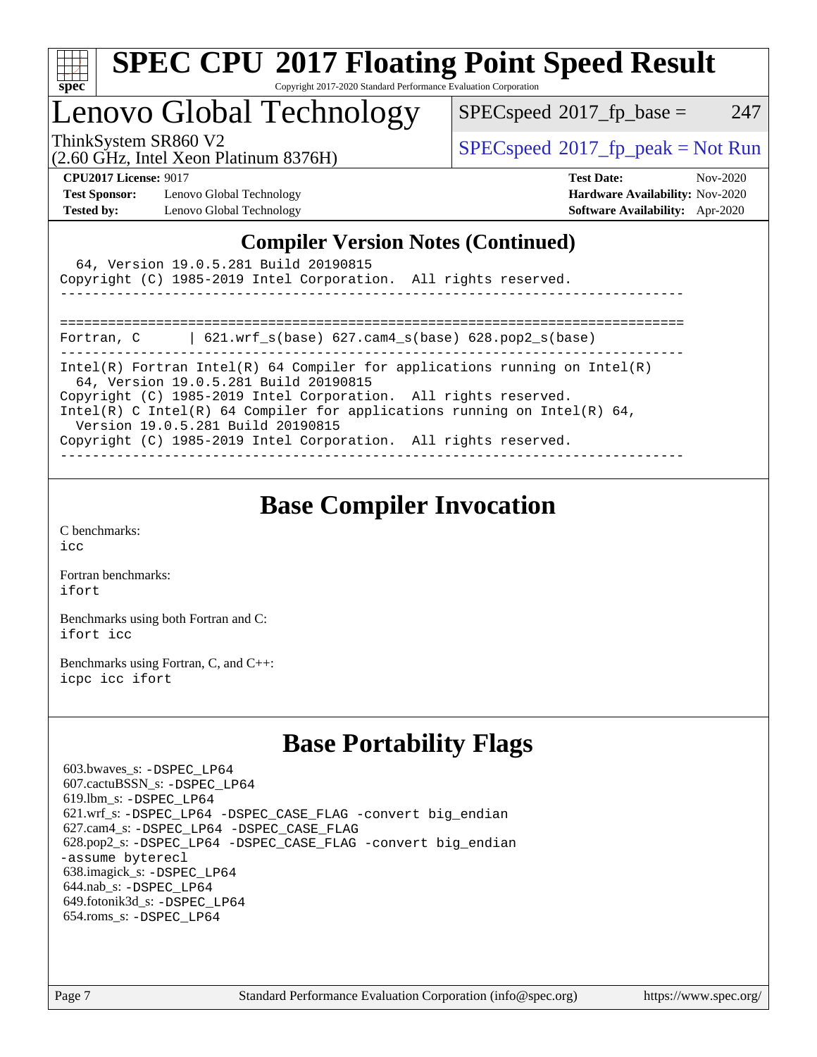

### Lenovo Global Technology

 $SPEC speed^{\circ}2017\_fp\_base = 247$ 

(2.60 GHz, Intel Xeon Platinum 8376H)

ThinkSystem SR860 V2<br>  $\begin{array}{c} \text{SPEC speed} \text{?}2017 \text{ fp\_peak} = \text{Not Run} \\ \text{SPEC speed} \text{?}2017 \text{ fp\_peak} = \text{Not Run} \end{array}$ 

**[Test Sponsor:](http://www.spec.org/auto/cpu2017/Docs/result-fields.html#TestSponsor)** Lenovo Global Technology **[Hardware Availability:](http://www.spec.org/auto/cpu2017/Docs/result-fields.html#HardwareAvailability)** Nov-2020 **[Tested by:](http://www.spec.org/auto/cpu2017/Docs/result-fields.html#Testedby)** Lenovo Global Technology **[Software Availability:](http://www.spec.org/auto/cpu2017/Docs/result-fields.html#SoftwareAvailability)** Apr-2020

**[CPU2017 License:](http://www.spec.org/auto/cpu2017/Docs/result-fields.html#CPU2017License)** 9017 **[Test Date:](http://www.spec.org/auto/cpu2017/Docs/result-fields.html#TestDate)** Nov-2020

### **[Compiler Version Notes \(Continued\)](http://www.spec.org/auto/cpu2017/Docs/result-fields.html#CompilerVersionNotes)**

| 64, Version 19.0.5.281 Build 20190815<br>Copyright (C) 1985-2019 Intel Corporation. All rights reserved.                                              |  |  |  |  |  |  |
|-------------------------------------------------------------------------------------------------------------------------------------------------------|--|--|--|--|--|--|
|                                                                                                                                                       |  |  |  |  |  |  |
| $\vert$ 621.wrf s(base) 627.cam4 s(base) 628.pop2 s(base)<br>Fortran, C<br>Intel(R) Fortran Intel(R) 64 Compiler for applications running on Intel(R) |  |  |  |  |  |  |
| 64, Version 19.0.5.281 Build 20190815<br>Copyright (C) 1985-2019 Intel Corporation. All rights reserved.                                              |  |  |  |  |  |  |
| Intel(R) C Intel(R) 64 Compiler for applications running on Intel(R) 64,<br>Version 19.0.5.281 Build 20190815                                         |  |  |  |  |  |  |
| Copyright (C) 1985-2019 Intel Corporation. All rights reserved.                                                                                       |  |  |  |  |  |  |

### **[Base Compiler Invocation](http://www.spec.org/auto/cpu2017/Docs/result-fields.html#BaseCompilerInvocation)**

[C benchmarks](http://www.spec.org/auto/cpu2017/Docs/result-fields.html#Cbenchmarks): [icc](http://www.spec.org/cpu2017/results/res2020q4/cpu2017-20201123-24476.flags.html#user_CCbase_intel_icc_66fc1ee009f7361af1fbd72ca7dcefbb700085f36577c54f309893dd4ec40d12360134090235512931783d35fd58c0460139e722d5067c5574d8eaf2b3e37e92)

[Fortran benchmarks](http://www.spec.org/auto/cpu2017/Docs/result-fields.html#Fortranbenchmarks): [ifort](http://www.spec.org/cpu2017/results/res2020q4/cpu2017-20201123-24476.flags.html#user_FCbase_intel_ifort_8111460550e3ca792625aed983ce982f94888b8b503583aa7ba2b8303487b4d8a21a13e7191a45c5fd58ff318f48f9492884d4413fa793fd88dd292cad7027ca)

[Benchmarks using both Fortran and C](http://www.spec.org/auto/cpu2017/Docs/result-fields.html#BenchmarksusingbothFortranandC): [ifort](http://www.spec.org/cpu2017/results/res2020q4/cpu2017-20201123-24476.flags.html#user_CC_FCbase_intel_ifort_8111460550e3ca792625aed983ce982f94888b8b503583aa7ba2b8303487b4d8a21a13e7191a45c5fd58ff318f48f9492884d4413fa793fd88dd292cad7027ca) [icc](http://www.spec.org/cpu2017/results/res2020q4/cpu2017-20201123-24476.flags.html#user_CC_FCbase_intel_icc_66fc1ee009f7361af1fbd72ca7dcefbb700085f36577c54f309893dd4ec40d12360134090235512931783d35fd58c0460139e722d5067c5574d8eaf2b3e37e92)

[Benchmarks using Fortran, C, and C++:](http://www.spec.org/auto/cpu2017/Docs/result-fields.html#BenchmarksusingFortranCandCXX) [icpc](http://www.spec.org/cpu2017/results/res2020q4/cpu2017-20201123-24476.flags.html#user_CC_CXX_FCbase_intel_icpc_c510b6838c7f56d33e37e94d029a35b4a7bccf4766a728ee175e80a419847e808290a9b78be685c44ab727ea267ec2f070ec5dc83b407c0218cded6866a35d07) [icc](http://www.spec.org/cpu2017/results/res2020q4/cpu2017-20201123-24476.flags.html#user_CC_CXX_FCbase_intel_icc_66fc1ee009f7361af1fbd72ca7dcefbb700085f36577c54f309893dd4ec40d12360134090235512931783d35fd58c0460139e722d5067c5574d8eaf2b3e37e92) [ifort](http://www.spec.org/cpu2017/results/res2020q4/cpu2017-20201123-24476.flags.html#user_CC_CXX_FCbase_intel_ifort_8111460550e3ca792625aed983ce982f94888b8b503583aa7ba2b8303487b4d8a21a13e7191a45c5fd58ff318f48f9492884d4413fa793fd88dd292cad7027ca)

## **[Base Portability Flags](http://www.spec.org/auto/cpu2017/Docs/result-fields.html#BasePortabilityFlags)**

 603.bwaves\_s: [-DSPEC\\_LP64](http://www.spec.org/cpu2017/results/res2020q4/cpu2017-20201123-24476.flags.html#suite_basePORTABILITY603_bwaves_s_DSPEC_LP64) 607.cactuBSSN\_s: [-DSPEC\\_LP64](http://www.spec.org/cpu2017/results/res2020q4/cpu2017-20201123-24476.flags.html#suite_basePORTABILITY607_cactuBSSN_s_DSPEC_LP64) 619.lbm\_s: [-DSPEC\\_LP64](http://www.spec.org/cpu2017/results/res2020q4/cpu2017-20201123-24476.flags.html#suite_basePORTABILITY619_lbm_s_DSPEC_LP64) 621.wrf\_s: [-DSPEC\\_LP64](http://www.spec.org/cpu2017/results/res2020q4/cpu2017-20201123-24476.flags.html#suite_basePORTABILITY621_wrf_s_DSPEC_LP64) [-DSPEC\\_CASE\\_FLAG](http://www.spec.org/cpu2017/results/res2020q4/cpu2017-20201123-24476.flags.html#b621.wrf_s_baseCPORTABILITY_DSPEC_CASE_FLAG) [-convert big\\_endian](http://www.spec.org/cpu2017/results/res2020q4/cpu2017-20201123-24476.flags.html#user_baseFPORTABILITY621_wrf_s_convert_big_endian_c3194028bc08c63ac5d04de18c48ce6d347e4e562e8892b8bdbdc0214820426deb8554edfa529a3fb25a586e65a3d812c835984020483e7e73212c4d31a38223) 627.cam4\_s: [-DSPEC\\_LP64](http://www.spec.org/cpu2017/results/res2020q4/cpu2017-20201123-24476.flags.html#suite_basePORTABILITY627_cam4_s_DSPEC_LP64) [-DSPEC\\_CASE\\_FLAG](http://www.spec.org/cpu2017/results/res2020q4/cpu2017-20201123-24476.flags.html#b627.cam4_s_baseCPORTABILITY_DSPEC_CASE_FLAG) 628.pop2\_s: [-DSPEC\\_LP64](http://www.spec.org/cpu2017/results/res2020q4/cpu2017-20201123-24476.flags.html#suite_basePORTABILITY628_pop2_s_DSPEC_LP64) [-DSPEC\\_CASE\\_FLAG](http://www.spec.org/cpu2017/results/res2020q4/cpu2017-20201123-24476.flags.html#b628.pop2_s_baseCPORTABILITY_DSPEC_CASE_FLAG) [-convert big\\_endian](http://www.spec.org/cpu2017/results/res2020q4/cpu2017-20201123-24476.flags.html#user_baseFPORTABILITY628_pop2_s_convert_big_endian_c3194028bc08c63ac5d04de18c48ce6d347e4e562e8892b8bdbdc0214820426deb8554edfa529a3fb25a586e65a3d812c835984020483e7e73212c4d31a38223) [-assume byterecl](http://www.spec.org/cpu2017/results/res2020q4/cpu2017-20201123-24476.flags.html#user_baseFPORTABILITY628_pop2_s_assume_byterecl_7e47d18b9513cf18525430bbf0f2177aa9bf368bc7a059c09b2c06a34b53bd3447c950d3f8d6c70e3faf3a05c8557d66a5798b567902e8849adc142926523472) 638.imagick\_s: [-DSPEC\\_LP64](http://www.spec.org/cpu2017/results/res2020q4/cpu2017-20201123-24476.flags.html#suite_basePORTABILITY638_imagick_s_DSPEC_LP64) 644.nab\_s: [-DSPEC\\_LP64](http://www.spec.org/cpu2017/results/res2020q4/cpu2017-20201123-24476.flags.html#suite_basePORTABILITY644_nab_s_DSPEC_LP64) 649.fotonik3d\_s: [-DSPEC\\_LP64](http://www.spec.org/cpu2017/results/res2020q4/cpu2017-20201123-24476.flags.html#suite_basePORTABILITY649_fotonik3d_s_DSPEC_LP64) 654.roms\_s: [-DSPEC\\_LP64](http://www.spec.org/cpu2017/results/res2020q4/cpu2017-20201123-24476.flags.html#suite_basePORTABILITY654_roms_s_DSPEC_LP64)